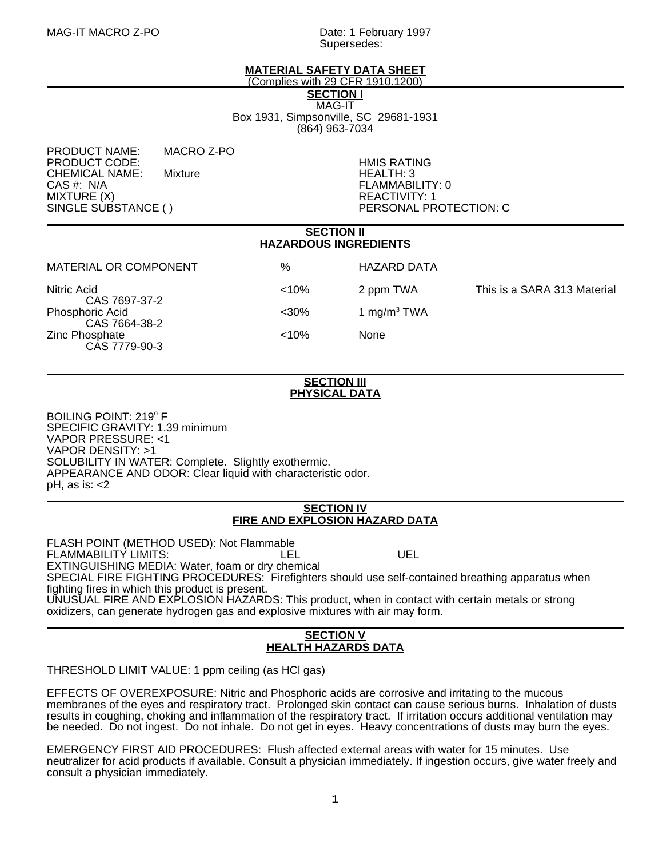Supersedes:

# **MATERIAL SAFETY DATA SHEET**

(Complies with 29 CFR 1910.1200)

**SECTION I**

MAG-IT Box 1931, Simpsonville, SC 29681-1931 (864) 963-7034

PRODUCT NAME: MACRO Z-PO PRODUCT CODE: the contract of the contract of the contract of the contract of the contract of the contract of the contract of the contract of the contract of the contract of the contract of the contract of the contract of CHEMICAL NAME: Mixture HEALTH: 3 CAS #: N/A FLAMMABILITY: 0 MIXTURE (X)<br>SINGLE SUBSTANCE ( ) PERSONAL PR

PERSONAL PROTECTION: C

### **SECTION II HAZARDOUS INGREDIENTS**

MATERIAL OR COMPONENT  $\%$  MATERIAL OR COMPONENT  $\%$ 

CAS 7697-37-2 Phosphoric Acid  $\leq 30\%$  1 mg/m<sup>3</sup> TWA CAS 7664-38-2 Zinc Phosphate <10% None CAS 7779-90-3

Nitric Acid **Nitric Acid Example 2 and STATE 2 ppm TWA** This is a SARA 313 Material

### **SECTION III PHYSICAL DATA**

BOILING POINT: 219° F SPECIFIC GRAVITY: 1.39 minimum VAPOR PRESSURE: <1 VAPOR DENSITY: >1 SOLUBILITY IN WATER: Complete. Slightly exothermic. APPEARANCE AND ODOR: Clear liquid with characteristic odor. pH, as is: <2

### **SECTION IV FIRE AND EXPLOSION HAZARD DATA**

FLASH POINT (METHOD USED): Not Flammable FLAMMABILITY LIMITS: LEL UEL EXTINGUISHING MEDIA: Water, foam or dry chemical SPECIAL FIRE FIGHTING PROCEDURES: Firefighters should use self-contained breathing apparatus when fighting fires in which this product is present. UNUSUAL FIRE AND EXPLOSION HAZARDS: This product, when in contact with certain metals or strong oxidizers, can generate hydrogen gas and explosive mixtures with air may form.

#### **SECTION V HEALTH HAZARDS DATA**

#### THRESHOLD LIMIT VALUE: 1 ppm ceiling (as HCl gas) İ

EFFECTS OF OVEREXPOSURE: Nitric and Phosphoric acids are corrosive and irritating to the mucous membranes of the eyes and respiratory tract. Prolonged skin contact can cause serious burns. Inhalation of dusts results in coughing, choking and inflammation of the respiratory tract. If irritation occurs additional ventilation may be needed. Do not ingest. Do not inhale. Do not get in eyes. Heavy concentrations of dusts may burn the eyes.

EMERGENCY FIRST AID PROCEDURES: Flush affected external areas with water for 15 minutes. Use neutralizer for acid products if available. Consult a physician immediately. If ingestion occurs, give water freely and consult a physician immediately.